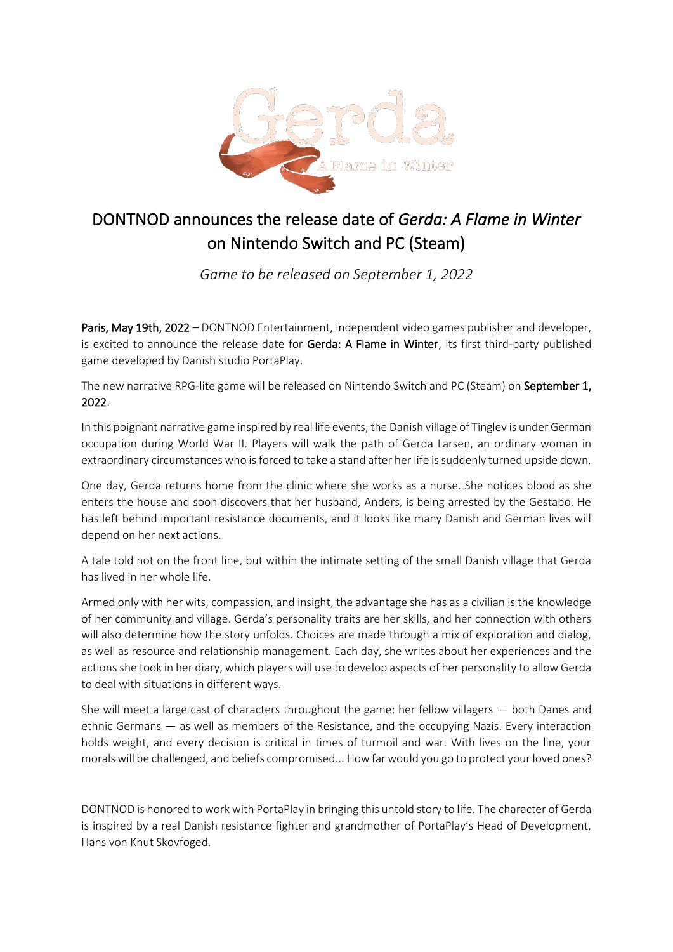

## DONTNOD announces the release date of *Gerda: A Flame in Winter* on Nintendo Switch and PC (Steam)

*Game to be released on September 1, 2022* 

Paris, May 19th, 2022 – DONTNOD Entertainment, independent video games publisher and developer, is excited to announce the release date for Gerda: A Flame in Winter, its first third-party published game developed by Danish studio PortaPlay.

The new narrative RPG-lite game will be released on Nintendo Switch and PC (Steam) on September 1, 2022.

In this poignant narrative game inspired by real life events, the Danish village of Tinglev is under German occupation during World War II. Players will walk the path of Gerda Larsen, an ordinary woman in extraordinary circumstances who is forced to take a stand after her life is suddenly turned upside down.

One day, Gerda returns home from the clinic where she works as a nurse. She notices blood as she enters the house and soon discovers that her husband, Anders, is being arrested by the Gestapo. He has left behind important resistance documents, and it looks like many Danish and German lives will depend on her next actions.

A tale told not on the front line, but within the intimate setting of the small Danish village that Gerda has lived in her whole life.

Armed only with her wits, compassion, and insight, the advantage she has as a civilian is the knowledge of her community and village. Gerda's personality traits are her skills, and her connection with others will also determine how the story unfolds. Choices are made through a mix of exploration and dialog, as well as resource and relationship management. Each day, she writes about her experiences and the actions she took in her diary, which players will use to develop aspects of her personality to allow Gerda to deal with situations in different ways.

She will meet a large cast of characters throughout the game: her fellow villagers — both Danes and ethnic Germans — as well as members of the Resistance, and the occupying Nazis. Every interaction holds weight, and every decision is critical in times of turmoil and war. With lives on the line, your morals will be challenged, and beliefs compromised... How far would you go to protect your loved ones?

DONTNOD is honored to work with PortaPlay in bringing this untold story to life. The character of Gerda is inspired by a real Danish resistance fighter and grandmother of PortaPlay's Head of Development, Hans von Knut Skovfoged.